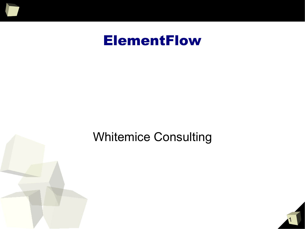

### ElementFlow

#### Whitemice Consulting



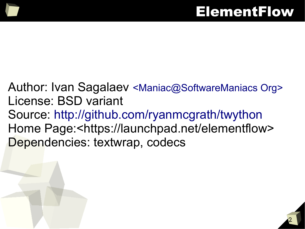Author: Ivan Sagalaev <Maniac@SoftwareManiacs Org> License: BSD variant Source: http://github.com/ryanmcgrath/twython Home Page:<https://launchpad.net/elementflow> Dependencies: textwrap, codecs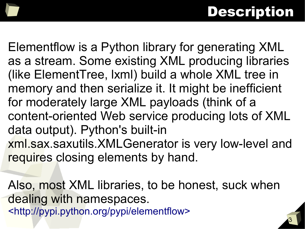# Description

3

Elementflow is a Python library for generating XML as a stream. Some existing XML producing libraries (like ElementTree, lxml) build a whole XML tree in memory and then serialize it. It might be inefficient for moderately large XML payloads (think of a content-oriented Web service producing lots of XML data output). Python's built-in xml.sax.saxutils.XMLGenerator is very low-level and requires closing elements by hand.

Also, most XML libraries, to be honest, suck when dealing with namespaces. <http://pypi.python.org/pypi/elementflow>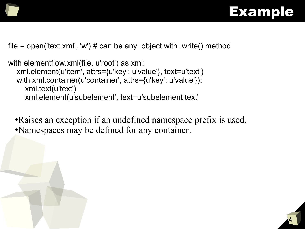



file = open('text.xml', 'w')  $\#$  can be any object with .write() method

with elementflow.xml(file, u'root') as xml: xml.element(u'item', attrs={u'key': u'value'}, text=u'text') with xml.container(u'container', attrs={u'key': u'value'}): xml.text(u'text') xml.element(u'subelement', text=u'subelement text'

• Raises an exception if an undefined namespace prefix is used. ●Namespaces may be defined for any container.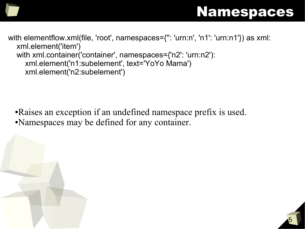#### Namespaces

with elementflow.xml(file, 'root', namespaces={'': 'urn:n', 'n1': 'urn:n1'}) as xml: xml.element('item') with xml.container('container', namespaces={'n2': 'urn:n2'): xml.element('n1:subelement', text='YoYo Mama') xml.element('n2:subelement')

●Raises an exception if an undefined namespace prefix is used. ●Namespaces may be defined for any container.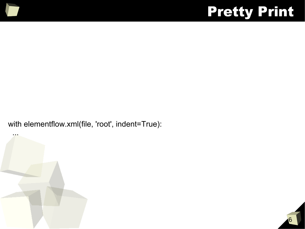## Pretty Print

with elementflow.xml(file, 'root', indent=True):



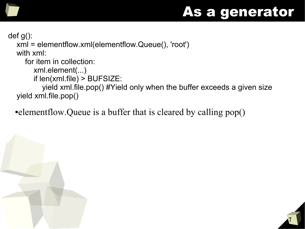### As a generator

def g():

 xml = elementflow.xml(elementflow.Queue(), 'root') with xml:

for item in collection:

xml.element(...)

if len(xml.file) > BUFSIZE:

 yield xml.file.pop() #Yield only when the buffer exceeds a given size yield xml.file.pop()

• elementflow. Queue is a buffer that is cleared by calling pop()